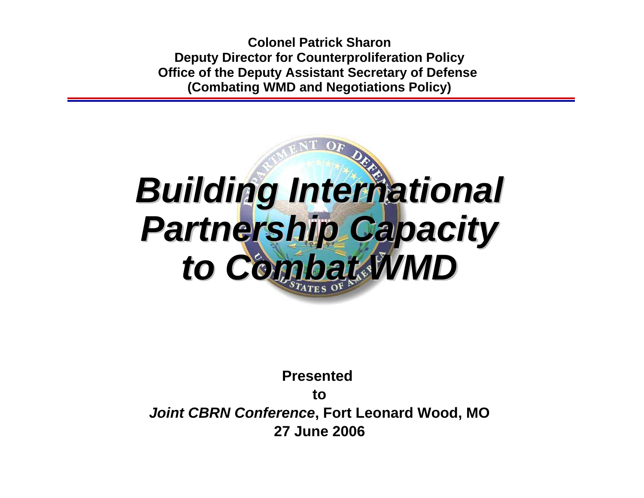**Colonel Patrick SharonDeputy Director for Counterproliferation Policy Office of the Deputy Assistant Secretary of Defense (Combating WMD and Negotiations Policy)**

# *Building International Building International Partnership Capacity Partnership Capacity to Combat WMD to Combat WMD*

**Presented to***Joint CBRN Conference***, Fort Leonard Wood, MO 27 June 2006**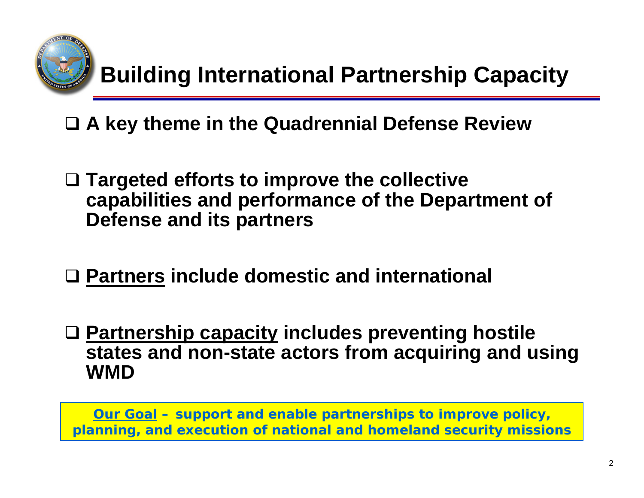

**A key theme in the Quadrennial Defense Review**

- **Targeted efforts to improve the collective capabilities and performance of the Department of Defense and its partners**
- **Partners include domestic and international**
- **Partnership capacity includes preventing hostile states and non-state actors from acquiring and using WMD**

**Our Goal – support and enable partnerships to improve policy, planning, and execution of national and homeland security missions**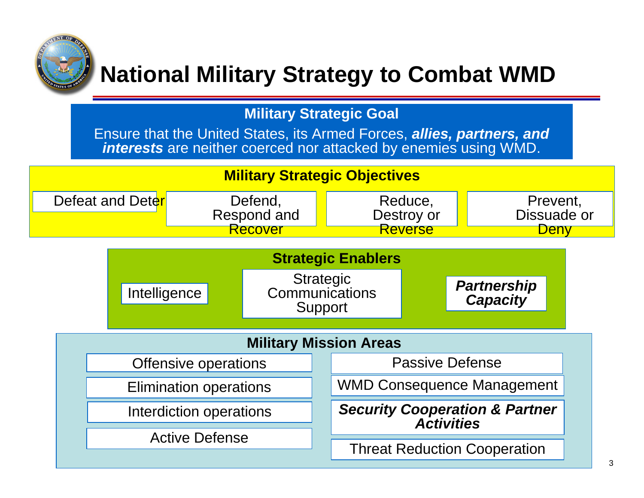

## **National Military Strategy to Combat WMD**

**Military Strategic Goal**

Ensure that the United States, its Armed Forces, *allies, partners, and interests* are neither coerced nor attacked by enemies using WMD.

#### **Military Strategic Objectives**

| Defeat and Deter | Defend,     | Reduce,    | Prevent,    |
|------------------|-------------|------------|-------------|
|                  | Respond and | Destroy or | Dissuade or |
|                  | kecover     | Reverse    |             |

| <b>Strategic Enablers</b>     |                                               |  |                                                                |                                       |  |  |  |
|-------------------------------|-----------------------------------------------|--|----------------------------------------------------------------|---------------------------------------|--|--|--|
| Intelligence                  | <b>Strategic</b><br>Communications<br>Support |  |                                                                | <b>Partnership</b><br><b>Capacity</b> |  |  |  |
| <b>Military Mission Areas</b> |                                               |  |                                                                |                                       |  |  |  |
| Offensive operations          |                                               |  | <b>Passive Defense</b>                                         |                                       |  |  |  |
| <b>Elimination operations</b> |                                               |  | <b>WMD Consequence Management</b>                              |                                       |  |  |  |
| Interdiction operations       |                                               |  | <b>Security Cooperation &amp; Partner</b><br><b>Activities</b> |                                       |  |  |  |
| <b>Active Defense</b>         |                                               |  |                                                                |                                       |  |  |  |
|                               |                                               |  | <b>Threat Reduction Cooperation</b>                            |                                       |  |  |  |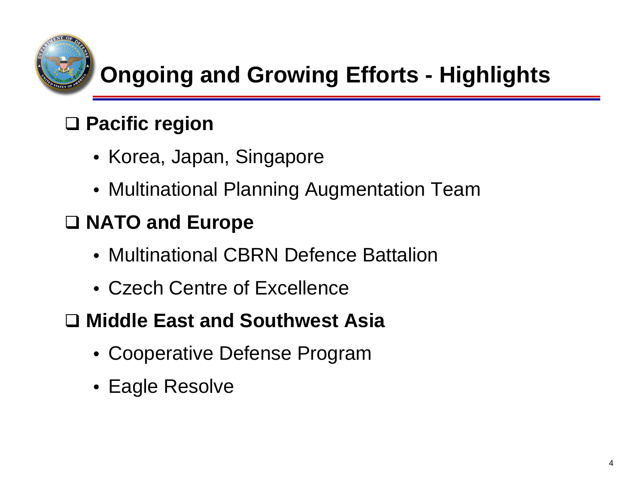

## **Ongoing and Growing Efforts - Highlights**

## **Pacific region**

- Korea, Japan, Singapore
- Multinational Planning Augmentation Team

### **NATO and Europe**

- Multinational CBRN Defence Battalion
- Czech Centre of Excellence

#### **Middle East and Southwest Asia**

- Cooperative Defense Program
- Eagle Resolve